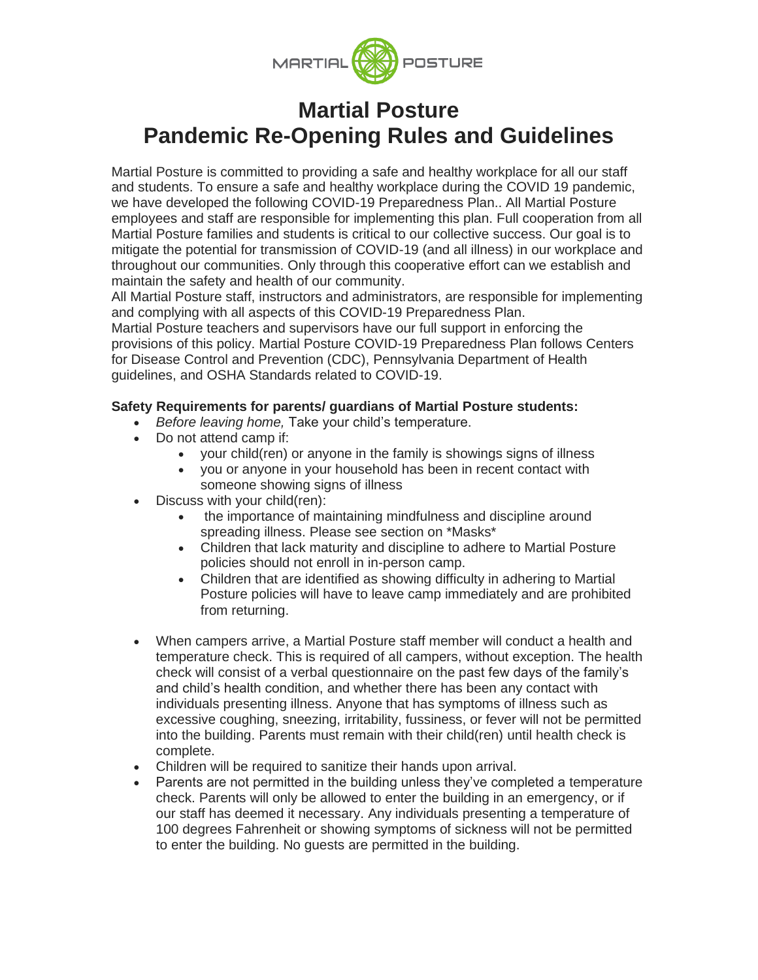

# **Martial Posture Pandemic Re-Opening Rules and Guidelines**

Martial Posture is committed to providing a safe and healthy workplace for all our staff and students. To ensure a safe and healthy workplace during the COVID 19 pandemic, we have developed the following COVID-19 Preparedness Plan.. All Martial Posture employees and staff are responsible for implementing this plan. Full cooperation from all Martial Posture families and students is critical to our collective success. Our goal is to mitigate the potential for transmission of COVID-19 (and all illness) in our workplace and throughout our communities. Only through this cooperative effort can we establish and maintain the safety and health of our community.

All Martial Posture staff, instructors and administrators, are responsible for implementing and complying with all aspects of this COVID-19 Preparedness Plan.

Martial Posture teachers and supervisors have our full support in enforcing the provisions of this policy. Martial Posture COVID-19 Preparedness Plan follows Centers for Disease Control and Prevention (CDC), Pennsylvania Department of Health guidelines, and OSHA Standards related to COVID-19.

### **Safety Requirements for parents/ guardians of Martial Posture students:**

- *Before leaving home,* Take your child's temperature.
- Do not attend camp if:
	- your child(ren) or anyone in the family is showings signs of illness
	- you or anyone in your household has been in recent contact with someone showing signs of illness
- Discuss with your child(ren):
	- the importance of maintaining mindfulness and discipline around spreading illness. Please see section on \*Masks\*
	- Children that lack maturity and discipline to adhere to Martial Posture policies should not enroll in in-person camp.
	- Children that are identified as showing difficulty in adhering to Martial Posture policies will have to leave camp immediately and are prohibited from returning.
- When campers arrive, a Martial Posture staff member will conduct a health and temperature check. This is required of all campers, without exception. The health check will consist of a verbal questionnaire on the past few days of the family's and child's health condition, and whether there has been any contact with individuals presenting illness. Anyone that has symptoms of illness such as excessive coughing, sneezing, irritability, fussiness, or fever will not be permitted into the building. Parents must remain with their child(ren) until health check is complete.
- Children will be required to sanitize their hands upon arrival.
- Parents are not permitted in the building unless they've completed a temperature check. Parents will only be allowed to enter the building in an emergency, or if our staff has deemed it necessary. Any individuals presenting a temperature of 100 degrees Fahrenheit or showing symptoms of sickness will not be permitted to enter the building. No guests are permitted in the building.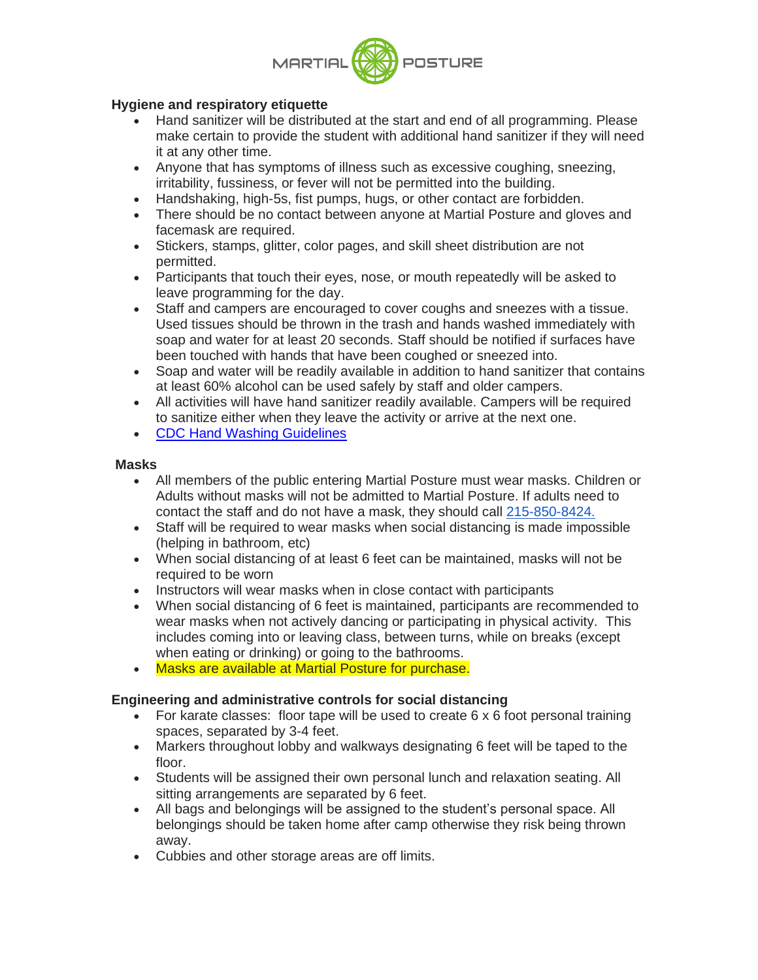

# **Hygiene and respiratory etiquette**

- Hand sanitizer will be distributed at the start and end of all programming. Please make certain to provide the student with additional hand sanitizer if they will need it at any other time.
- Anyone that has symptoms of illness such as excessive coughing, sneezing, irritability, fussiness, or fever will not be permitted into the building.
- Handshaking, high-5s, fist pumps, hugs, or other contact are forbidden.
- There should be no contact between anyone at Martial Posture and gloves and facemask are required.
- Stickers, stamps, glitter, color pages, and skill sheet distribution are not permitted.
- Participants that touch their eyes, nose, or mouth repeatedly will be asked to leave programming for the day.
- Staff and campers are encouraged to cover coughs and sneezes with a tissue. Used tissues should be thrown in the trash and hands washed immediately with soap and water for at least 20 seconds. Staff should be notified if surfaces have been touched with hands that have been coughed or sneezed into.
- Soap and water will be readily available in addition to hand sanitizer that contains at least 60% alcohol can be used safely by staff and older campers.
- All activities will have hand sanitizer readily available. Campers will be required to sanitize either when they leave the activity or arrive at the next one.
- [CDC Hand Washing Guidelines](https://www.google.com/url?q=https://www.google.com/url?q%3Dhttps://www.cdc.gov/handwashing/when-how-handwashing.html%26amp;sa%3DD%26amp;ust%3D1594741344019000%26amp;usg%3DAOvVaw32e81ici5pAWmB296vHEij&sa=D&ust=1594741344052000&usg=AFQjCNFARpLJfF4Vn1R_2__t70pDpZB9sg)

#### **Masks**

- All members of the public entering Martial Posture must wear masks. Children or Adults without masks will not be admitted to Martial Posture. If adults need to contact the staff and do not have a mask, they should call 215-850-8424.
- Staff will be required to wear masks when social distancing is made impossible (helping in bathroom, etc)
- When social distancing of at least 6 feet can be maintained, masks will not be required to be worn
- Instructors will wear masks when in close contact with participants
- When social distancing of 6 feet is maintained, participants are recommended to wear masks when not actively dancing or participating in physical activity. This includes coming into or leaving class, between turns, while on breaks (except when eating or drinking) or going to the bathrooms.
- Masks are available at Martial Posture for purchase.

# **Engineering and administrative controls for social distancing**

- For karate classes: floor tape will be used to create 6 x 6 foot personal training spaces, separated by 3-4 feet.
- Markers throughout lobby and walkways designating 6 feet will be taped to the floor.
- Students will be assigned their own personal lunch and relaxation seating. All sitting arrangements are separated by 6 feet.
- All bags and belongings will be assigned to the student's personal space. All belongings should be taken home after camp otherwise they risk being thrown away.
- Cubbies and other storage areas are off limits.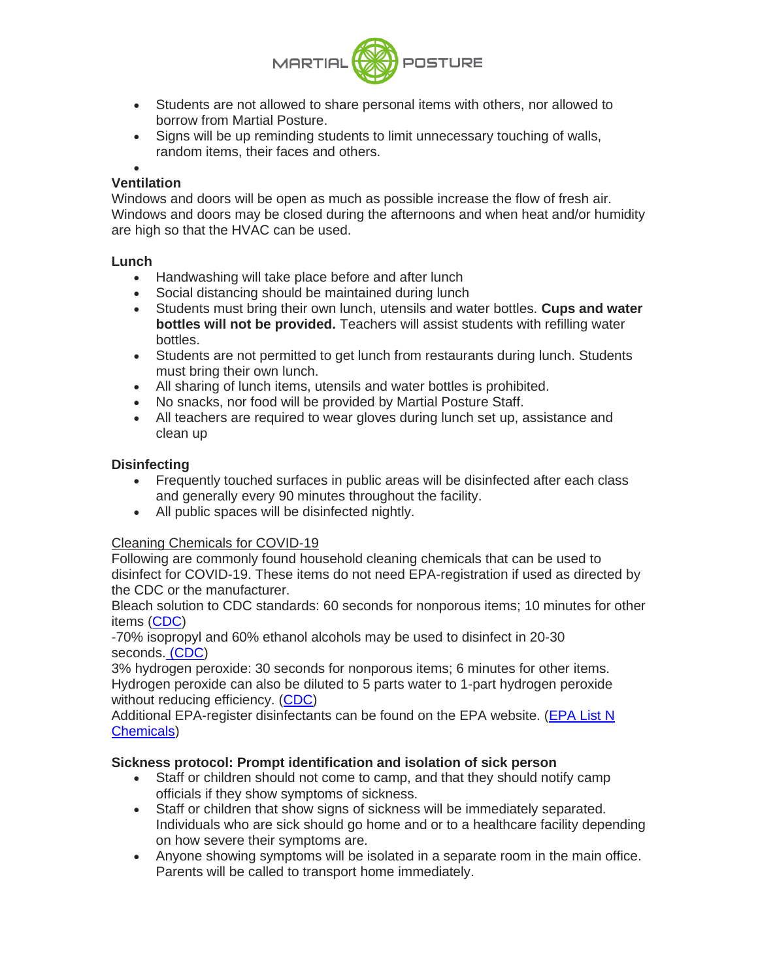

- Students are not allowed to share personal items with others, nor allowed to borrow from Martial Posture.
- Signs will be up reminding students to limit unnecessary touching of walls, random items, their faces and others.

#### • **Ventilation**

Windows and doors will be open as much as possible increase the flow of fresh air. Windows and doors may be closed during the afternoons and when heat and/or humidity are high so that the HVAC can be used.

#### **Lunch**

- Handwashing will take place before and after lunch
- Social distancing should be maintained during lunch
- Students must bring their own lunch, utensils and water bottles. **Cups and water bottles will not be provided.** Teachers will assist students with refilling water bottles.
- Students are not permitted to get lunch from restaurants during lunch. Students must bring their own lunch.
- All sharing of lunch items, utensils and water bottles is prohibited.
- No snacks, nor food will be provided by Martial Posture Staff.
- All teachers are required to wear gloves during lunch set up, assistance and clean up

# **Disinfecting**

- Frequently touched surfaces in public areas will be disinfected after each class and generally every 90 minutes throughout the facility.
- All public spaces will be disinfected nightly.

# Cleaning Chemicals for COVID-19

Following are commonly found household cleaning chemicals that can be used to disinfect for COVID-19. These items do not need EPA-registration if used as directed by the CDC or the manufacturer.

Bleach solution to CDC standards: 60 seconds for nonporous items; 10 minutes for other items [\(CDC\)](https://www.google.com/url?q=https://www.google.com/url?q%3Dhttps://www.cdc.gov/coronavirus/2019-ncov/community/clean-disinfect/index.html%26amp;sa%3DD%26amp;ust%3D1594741344024000%26amp;usg%3DAOvVaw0TfnhR4n5w3rDT3udOhtOV&sa=D&ust=1594741344053000&usg=AFQjCNH6ZmvxssOdQjL_9QeaqrtgNNkfWw)

-70% isopropyl and 60% ethanol alcohols may be used to disinfect in 20-30 seconds[.](https://www.google.com/url?q=https://www.google.com/url?q%3Dhttps://www.cdc.gov/coronavirus/2019-ncov/community/clean-disinfect/index.html%26amp;sa%3DD%26amp;ust%3D1594741344025000%26amp;usg%3DAOvVaw0JGi9Z9bcmBFU4jzCoY1vK&sa=D&ust=1594741344054000&usg=AFQjCNFuGqLKa9yUlzrdYCZ7ih_TyK9cHw) [\(CDC\)](https://www.google.com/url?q=https://www.google.com/url?q%3Dhttps://www.cdc.gov/coronavirus/2019-ncov/community/clean-disinfect/index.html%26amp;sa%3DD%26amp;ust%3D1594741344025000%26amp;usg%3DAOvVaw0JGi9Z9bcmBFU4jzCoY1vK&sa=D&ust=1594741344054000&usg=AFQjCNFuGqLKa9yUlzrdYCZ7ih_TyK9cHw)

3% hydrogen peroxide: 30 seconds for nonporous items; 6 minutes for other items. Hydrogen peroxide can also be diluted to 5 parts water to 1-part hydrogen peroxide without reducing efficiency. [\(CDC\)](https://www.google.com/url?q=https://www.google.com/url?q%3Dhttps://www.cdc.gov/coronavirus/2019-ncov/community/clean-disinfect/index.html%26amp;sa%3DD%26amp;ust%3D1594741344026000%26amp;usg%3DAOvVaw2W3Sidfe_gmyUT3nrXn03j&sa=D&ust=1594741344054000&usg=AFQjCNEzZJHKh8C74VLBuMOqWaELkCgUHA)

Additional EPA-register disinfectants can be found on the EPA website. [\(EPA List N](https://www.google.com/url?q=https://www.google.com/url?q%3Dhttps://www.epa.gov/pesticide-registration/list-n-disinfectants-use-against-sars-cov-2-covid-19%26amp;sa%3DD%26amp;ust%3D1594741344027000%26amp;usg%3DAOvVaw0tlTnw-7xfp_ybwxx6cG45&sa=D&ust=1594741344054000&usg=AFQjCNHUEwVGQwlEq6zI_EKDKfjqXxp9gw)  [Chemicals\)](https://www.google.com/url?q=https://www.google.com/url?q%3Dhttps://www.epa.gov/pesticide-registration/list-n-disinfectants-use-against-sars-cov-2-covid-19%26amp;sa%3DD%26amp;ust%3D1594741344027000%26amp;usg%3DAOvVaw0tlTnw-7xfp_ybwxx6cG45&sa=D&ust=1594741344054000&usg=AFQjCNHUEwVGQwlEq6zI_EKDKfjqXxp9gw)

# **Sickness protocol: Prompt identification and isolation of sick person**

- Staff or children should not come to camp, and that they should notify camp officials if they show symptoms of sickness.
- Staff or children that show signs of sickness will be immediately separated. Individuals who are sick should go home and or to a healthcare facility depending on how severe their symptoms are.
- Anyone showing symptoms will be isolated in a separate room in the main office. Parents will be called to transport home immediately.